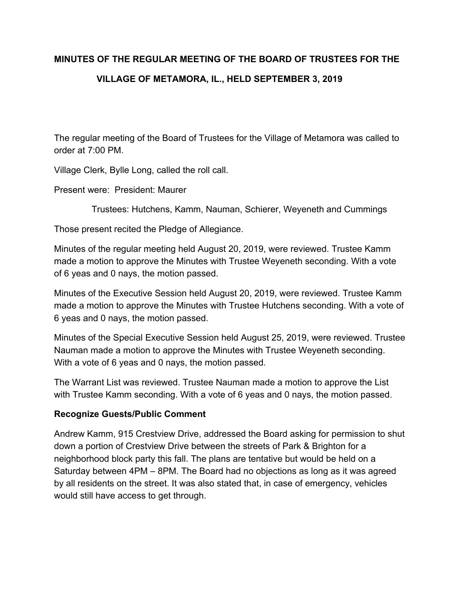# **MINUTES OF THE REGULAR MEETING OF THE BOARD OF TRUSTEES FOR THE VILLAGE OF METAMORA, IL., HELD SEPTEMBER 3, 2019**

The regular meeting of the Board of Trustees for the Village of Metamora was called to order at 7:00 PM.

Village Clerk, Bylle Long, called the roll call.

Present were: President: Maurer

Trustees: Hutchens, Kamm, Nauman, Schierer, Weyeneth and Cummings

Those present recited the Pledge of Allegiance.

Minutes of the regular meeting held August 20, 2019, were reviewed. Trustee Kamm made a motion to approve the Minutes with Trustee Weyeneth seconding. With a vote of 6 yeas and 0 nays, the motion passed.

Minutes of the Executive Session held August 20, 2019, were reviewed. Trustee Kamm made a motion to approve the Minutes with Trustee Hutchens seconding. With a vote of 6 yeas and 0 nays, the motion passed.

Minutes of the Special Executive Session held August 25, 2019, were reviewed. Trustee Nauman made a motion to approve the Minutes with Trustee Weyeneth seconding. With a vote of 6 yeas and 0 nays, the motion passed.

The Warrant List was reviewed. Trustee Nauman made a motion to approve the List with Trustee Kamm seconding. With a vote of 6 yeas and 0 nays, the motion passed.

# **Recognize Guests/Public Comment**

Andrew Kamm, 915 Crestview Drive, addressed the Board asking for permission to shut down a portion of Crestview Drive between the streets of Park & Brighton for a neighborhood block party this fall. The plans are tentative but would be held on a Saturday between 4PM – 8PM. The Board had no objections as long as it was agreed by all residents on the street. It was also stated that, in case of emergency, vehicles would still have access to get through.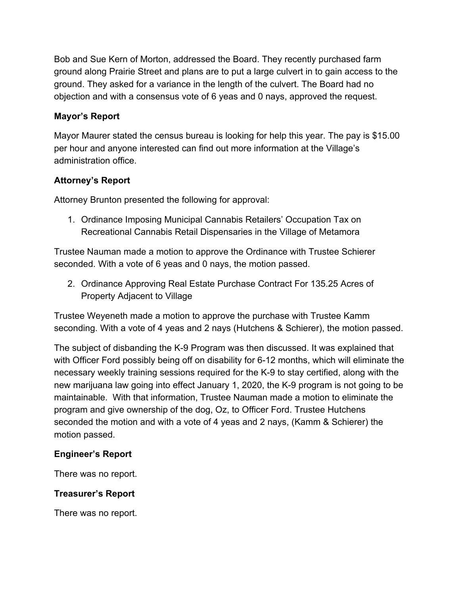Bob and Sue Kern of Morton, addressed the Board. They recently purchased farm ground along Prairie Street and plans are to put a large culvert in to gain access to the ground. They asked for a variance in the length of the culvert. The Board had no objection and with a consensus vote of 6 yeas and 0 nays, approved the request.

# **Mayor's Report**

Mayor Maurer stated the census bureau is looking for help this year. The pay is \$15.00 per hour and anyone interested can find out more information at the Village's administration office.

# **Attorney's Report**

Attorney Brunton presented the following for approval:

1. Ordinance Imposing Municipal Cannabis Retailers' Occupation Tax on Recreational Cannabis Retail Dispensaries in the Village of Metamora

Trustee Nauman made a motion to approve the Ordinance with Trustee Schierer seconded. With a vote of 6 yeas and 0 nays, the motion passed.

2. Ordinance Approving Real Estate Purchase Contract For 135.25 Acres of Property Adjacent to Village

Trustee Weyeneth made a motion to approve the purchase with Trustee Kamm seconding. With a vote of 4 yeas and 2 nays (Hutchens & Schierer), the motion passed.

The subject of disbanding the K-9 Program was then discussed. It was explained that with Officer Ford possibly being off on disability for 6-12 months, which will eliminate the necessary weekly training sessions required for the K-9 to stay certified, along with the new marijuana law going into effect January 1, 2020, the K-9 program is not going to be maintainable. With that information, Trustee Nauman made a motion to eliminate the program and give ownership of the dog, Oz, to Officer Ford. Trustee Hutchens seconded the motion and with a vote of 4 yeas and 2 nays, (Kamm & Schierer) the motion passed.

# **Engineer's Report**

There was no report.

# **Treasurer's Report**

There was no report.